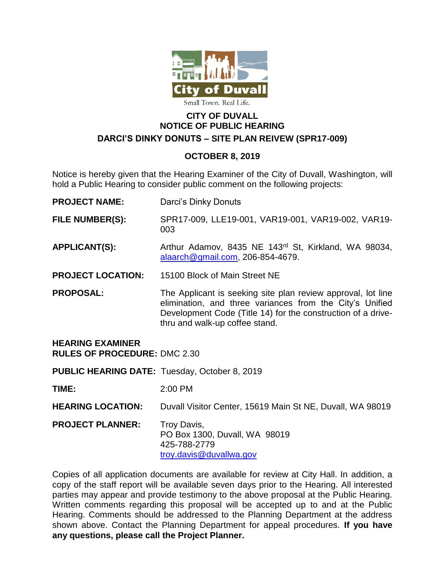

## **CITY OF DUVALL NOTICE OF PUBLIC HEARING DARCI'S DINKY DONUTS – SITE PLAN REIVEW (SPR17-009)**

## **OCTOBER 8, 2019**

Notice is hereby given that the Hearing Examiner of the City of Duvall, Washington, will hold a Public Hearing to consider public comment on the following projects:

- **PROJECT NAME:** Darci's Dinky Donuts
- **FILE NUMBER(S):** SPR17-009, LLE19-001, VAR19-001, VAR19-002, VAR19- 003
- **APPLICANT(S):** Arthur Adamov, 8435 NE 143rd St, Kirkland, WA 98034, [alaarch@gmail.com,](mailto:alaarch@gmail.com) 206-854-4679.
- **PROJECT LOCATION:** 15100 Block of Main Street NE
- **PROPOSAL:** The Applicant is seeking site plan review approval, lot line elimination, and three variances from the City's Unified Development Code (Title 14) for the construction of a drivethru and walk-up coffee stand.

## **HEARING EXAMINER**

**RULES OF PROCEDURE:** DMC 2.30

**PUBLIC HEARING DATE:** Tuesday, October 8, 2019

**TIME:** 2:00 PM

**HEARING LOCATION:** Duvall Visitor Center, 15619 Main St NE, Duvall, WA 98019

**PROJECT PLANNER:** Troy Davis, PO Box 1300, Duvall, WA 98019 425-788-2779 [troy.davis@duvallwa.gov](mailto:troy.davis@duvallwa.gov)

Copies of all application documents are available for review at City Hall. In addition, a copy of the staff report will be available seven days prior to the Hearing. All interested parties may appear and provide testimony to the above proposal at the Public Hearing. Written comments regarding this proposal will be accepted up to and at the Public Hearing. Comments should be addressed to the Planning Department at the address shown above. Contact the Planning Department for appeal procedures. **If you have any questions, please call the Project Planner.**